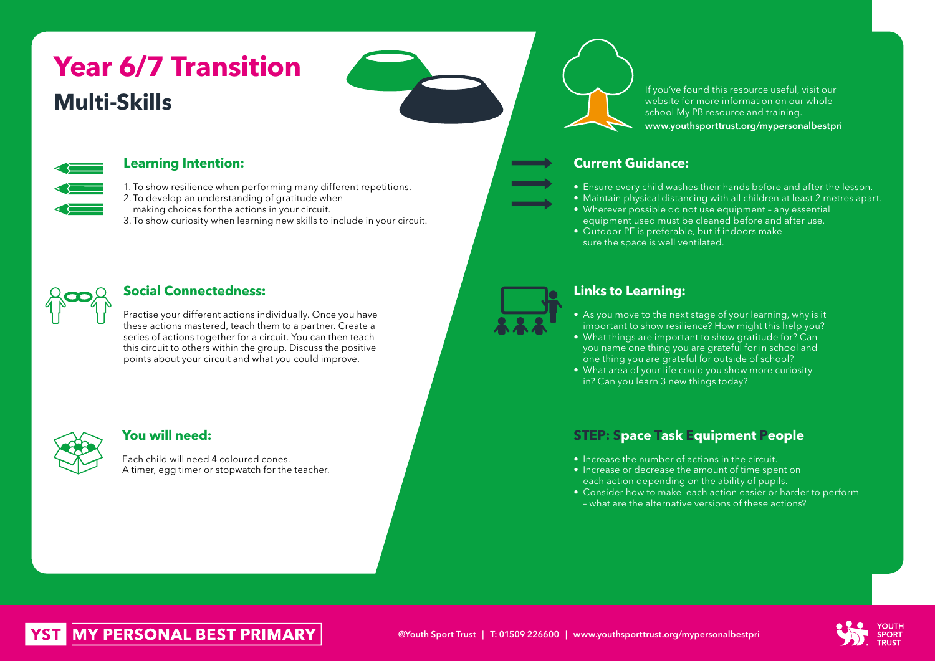# **Multi-Skills Year 6/7 Transition**



#### **Learning Intention:**

- 1. To show resilience when performing many different repetitions.
- 2. To develop an understanding of gratitude when
- making choices for the actions in your circuit.
- 3. To show curiosity when learning new skills to include in your circuit.



#### **Social Connectedness:**

Practise your different actions individually. Once you have these actions mastered, teach them to a partner. Create a series of actions together for a circuit. You can then teach this circuit to others within the group. Discuss the positive points about your circuit and what you could improve.



#### **You will need:**

Each child will need 4 coloured cones. A timer, egg timer or stopwatch for the teacher. If you've found this resource useful, visit our website for more information on our whole school My PB resource and training. www.youthsporttrust.org/mypersonalbestpri

## **Current Guidance:**

- Ensure every child washes their hands before and after the lesson.
- Maintain physical distancing with all children at least 2 metres apart.
- Wherever possible do not use equipment any essential equipment used must be cleaned before and after use.
- Outdoor PE is preferable, but if indoors make sure the space is well ventilated.



#### **Links to Learning:**

- As you move to the next stage of your learning, why is it important to show resilience? How might this help you?
- What things are important to show gratitude for? Can you name one thing you are grateful for in school and one thing you are grateful for outside of school?
- What area of your life could you show more curiosity in? Can you learn 3 new things today?

## **STEP: Space Task Equipment People**

- Increase the number of actions in the circuit.
- Increase or decrease the amount of time spent on each action depending on the ability of pupils.
- Consider how to make each action easier or harder to perform – what are the alternative versions of these actions?



# **MY PERSONAL BEST PRIMARY**